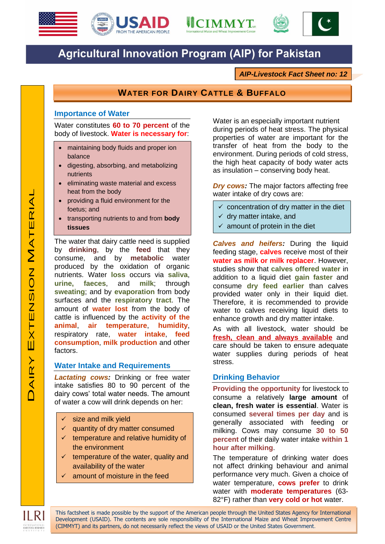





# **Agricultural Innovation Program (AIP) for Pakistan**

*AIP-Livestock Fact Sheet no: 12*

# **WATER FOR DAIRY CATTLE & BUFFALO**

## **Importance of Water**

Water constitutes **60 to 70 percent** of the body of livestock. **Water is necessary for**:

- maintaining body fluids and proper ion balance
- digesting, absorbing, and metabolizing nutrients
- eliminating waste material and excess heat from the body
- providing a fluid environment for the foetus; and
- transporting nutrients to and from **body tissues**

The water that dairy cattle need is supplied by **drinking**, by the **feed** that they consume, and by **metabolic** water produced by the oxidation of organic nutrients. Water **loss** occurs via **saliva**, **urine, faeces**, and **milk**; through **sweating**; and by **evaporation** from body surfaces and the **respiratory tract**. The amount of **water lost** from the body of cattle is influenced by the **activity of the animal**, **air temperature**, **humidity**, respiratory rate, **water intake**, **feed consumption**, **milk production** and other factors.

#### **Water Intake and Requirements**

*Lactating cows:* Drinking or free water intake satisfies 80 to 90 percent of the dairy cows' total water needs. The amount of water a cow will drink depends on her:

- size and milk yield
- quantity of dry matter consumed
- $\checkmark$  temperature and relative humidity of the environment
- $\checkmark$  temperature of the water, quality and availability of the water
- amount of moisture in the feed

Water is an especially important nutrient during periods of heat stress. The physical properties of water are important for the transfer of heat from the body to the environment. During periods of cold stress, the high heat capacity of body water acts as insulation – conserving body heat.

*Dry cows:* The major factors affecting free water intake of dry cows are:

- $\checkmark$  concentration of dry matter in the diet
- $\checkmark$  dry matter intake, and
- $\checkmark$  amount of protein in the diet

**Calves and heifers:** During the liquid feeding stage, **calves** receive most of their **water as milk or milk replacer**. However, studies show that **calves offered water** in addition to a liquid diet **gain faster** and consume **dry feed earlier** than calves provided water only in their liquid diet. Therefore, it is recommended to provide water to calves receiving liquid diets to enhance growth and dry matter intake.

As with all livestock, water should be **fresh, clean and always available** and care should be taken to ensure adequate water supplies during periods of heat stress.

#### **Drinking Behavior**

**Providing the opportunity** for livestock to consume a relatively **large amount** of **clean, fresh water is essential**. Water is consumed **several times per day** and is generally associated with feeding or milking. Cows may consume **30 to 50 percent** of their daily water intake **within 1 hour after milking**.

The temperature of drinking water does not affect drinking behaviour and animal performance very much. Given a choice of water temperature, **cows prefer** to drink water with **moderate temperatures** (63- 82°F) rather than **very cold or hot** water.

This factsheet is made possible by the support of the American people through the United States Agency for International Development (USAID). The contents are sole responsibility of the International Maize and Wheat Improvement Centre (CIMMYT) and its partners, do not necessarily reflect the views of USAID or the United States Government.